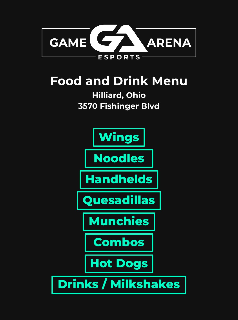<span id="page-0-0"></span>

## **Food and Drink Menu**

#### **Hilliard, Ohio 3570 Fishinger Blvd**

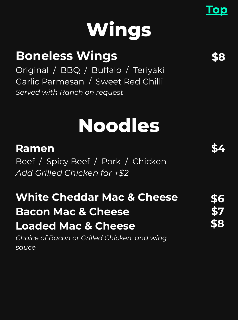# **Wings**

### <span id="page-1-0"></span>**Boneless Wings**

Original / BBQ / Buffalo / Teriyaki Garlic Parmesan / Sweet Red Chilli *Served with Ranch on request*

## **Noodles**

### **Ramen**

Beef / Spicy Beef / Pork / Chicken *Add Grilled Chicken for +\$2*

### **White Cheddar Mac & Cheese Bacon Mac & Cheese Loaded Mac & Cheese**

*Choice of Bacon or Grilled Chicken, and wing sauce*

**[Top](#page-0-0)**

**\$4**

**\$6**

**\$7**

**\$8**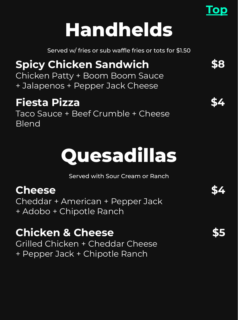## **Handhelds**

Served w/ fries or sub waffle fries or tots for \$1.50

### <span id="page-2-0"></span>**Spicy Chicken Sandwich**

Chicken Patty + Boom Boom Sauce + Jalapenos + Pepper Jack Cheese

### **Fiesta Pizza**

Taco Sauce + Beef Crumble + Cheese Blend

## **Quesadillas**

Served with Sour Cream or Ranch

### **Cheese**

Cheddar + American + Pepper Jack + Adobo + Chipotle Ranch

### **Chicken & Cheese**

Grilled Chicken + Cheddar Cheese + Pepper Jack + Chipotle Ranch

**\$5** 

**\$4**

**\$8**

**[Top](#page-0-0)**

**\$4**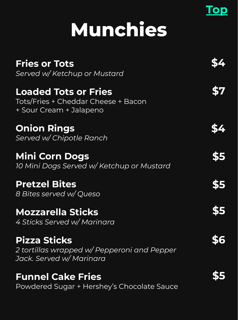## **Munchies**

**[Top](#page-0-0)**

<span id="page-3-0"></span>

| <b>Fries or Tots</b><br>Served w/ Ketchup or Mustard                                           |     |
|------------------------------------------------------------------------------------------------|-----|
| <b>Loaded Tots or Fries</b><br>Tots/Fries + Cheddar Cheese + Bacon<br>+ Sour Cream + Jalapeno  |     |
| <b>Onion Rings</b><br>Served w/ Chipotle Ranch                                                 |     |
| <b>Mini Corn Dogs</b><br>10 Mini Dogs Served w/ Ketchup or Mustard                             | \$5 |
| <b>Pretzel Bites</b><br>8 Bites served w/ Queso                                                | \$5 |
| <b>Mozzarella Sticks</b><br>4 Sticks Served w/ Marinara                                        | \$5 |
| <b>Pizza Sticks</b><br>2 tortillas wrapped w/ Pepperoni and Pepper<br>Jack. Served w/ Marinara |     |
| <b>Funnel Cake Fries</b><br>Powdered Sugar + Hershey's Chocolate Sauce                         |     |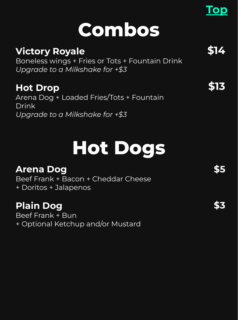## **Combos**

### <span id="page-4-0"></span>**Victory Royale**

Boneless wings + Fries or Tots + Fountain Drink *Upgrade to a Milkshake for +\$3*

#### **Hot Drop**

Arena Dog + Loaded Fries/Tots + Fountain Drink *Upgrade to a Milkshake for +\$3*

## **Hot Dogs**

#### **Arena Dog**

Beef Frank + Bacon + Cheddar Cheese + Doritos + Jalapenos

#### **Plain Dog**

Beef Frank + Bun + Optional Ketchup and/or Mustard **\$3**

**\$14**

**\$13**

**[Top](#page-0-0)**